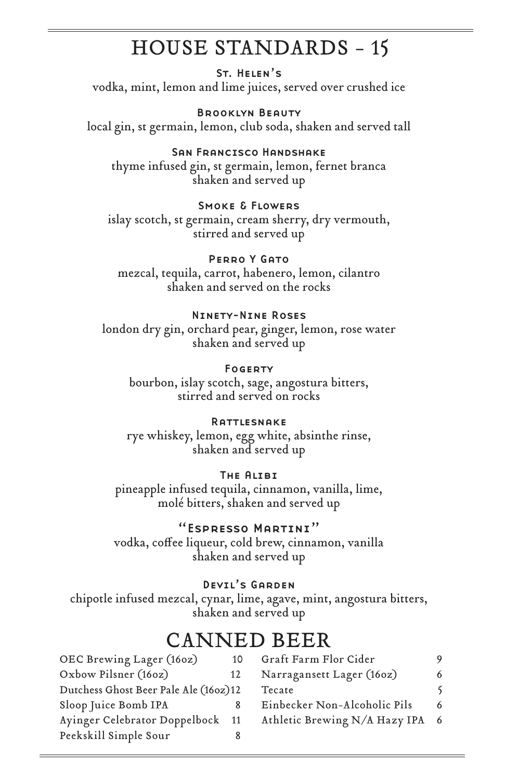# HOUSE STANDARDS - 15

St. Helen's vodka, mint, lemon and lime juices, served over crushed ice

Brooklyn Beauty local gin, st germain, lemon, club soda, shaken and served tall

San Francisco Handshake thyme infused gin, st germain, lemon, fernet branca shaken and served up

Smoke & Flowers

islay scotch, st germain, cream sherry, dry vermouth, stirred and served up

PERRO Y GATO mezcal, tequila, carrot, habenero, lemon, cilantro

shaken and served on the rocks

## Ninety-Nine Roses

london dry gin, orchard pear, ginger, lemon, rose water shaken and served up

Fogerty bourbon, islay scotch, sage, angostura bitters, stirred and served on rocks

### **RATTLESNAKE**

rye whiskey, lemon, egg white, absinthe rinse, shaken and served up

## The Alibi

pineapple infused tequila, cinnamon, vanilla, lime, molé bitters, shaken and served up

## "Espresso Martini"

vodka, coffee liqueur, cold brew, cinnamon, vanilla shaken and served up

Devil's Garden

chipotle infused mezcal, cynar, lime, agave, mint, angostura bitters, shaken and served up

# CANNED BEER

| OEC Brewing Lager (160z)              | 10 | Graft Farm Flor Cider         | 9   |
|---------------------------------------|----|-------------------------------|-----|
| Oxbow Pilsner (160z)                  | 12 | Narragansett Lager (160z)     | 6   |
| Dutchess Ghost Beer Pale Ale (160z)12 |    | Tecate                        |     |
| Sloop Juice Bomb IPA                  |    | Einbecker Non-Alcoholic Pils  | 6   |
| Ayinger Celebrator Doppelbock 11      |    | Athletic Brewing N/A Hazy IPA | - 6 |
| Peekskill Simple Sour                 |    |                               |     |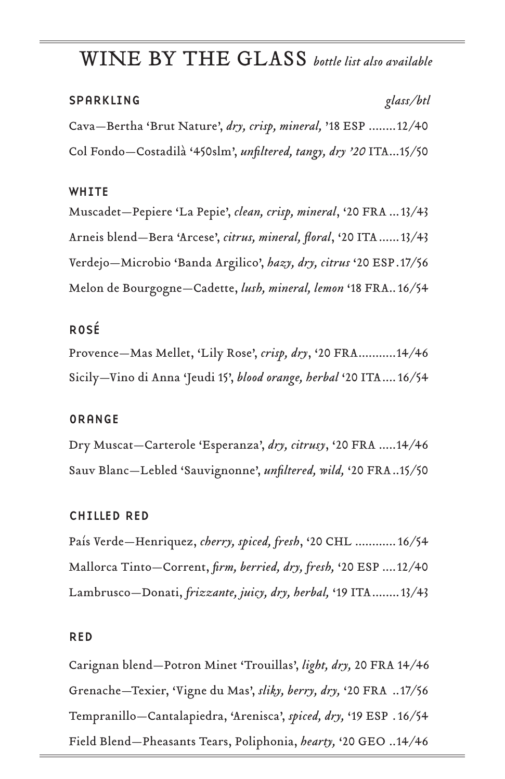# WINE BY THE GLASS *bottle list also available*

### SPARKLING *glass/btl*

Cava—Bertha 'Brut Nature', *dry, crisp, mineral,* '18 ESP ........12/40 Col Fondo—Costadilà '450slm', *unfiltered, tangy, dry '20* ITA...15/50

### WHITE

Muscadet—Pepiere 'La Pepie', *clean, crisp, mineral*, '20 FRA ...13/43 Arneis blend—Bera 'Arcese', *citrus, mineral, floral*, '20 ITA......13/43 Verdejo—Microbio 'Banda Argilico', *hazy, dry, citrus* '20 ESP.17/56 Melon de Bourgogne—Cadette, *lush, mineral, lemon* '18 FRA..16/54

## ROSÉ

Provence—Mas Mellet, 'Lily Rose', *crisp, dry*, '20 FRA...........14/46 Sicily—Vino di Anna 'Jeudi 15', *blood orange, herbal* '20 ITA....16/54

#### ORANGE

Dry Muscat—Carterole 'Esperanza', *dry, citrusy*, '20 FRA .....14/46 Sauv Blanc—Lebled 'Sauvignonne', *unfiltered, wild,* '20 FRA..15/50

### CHILLED RED

País Verde—Henriquez, *cherry, spiced, fresh*, '20 CHL ............16/54 Mallorca Tinto—Corrent, *firm, berried, dry, fresh,* '20 ESP ....12/40 Lambrusco—Donati, *frizzante, juicy, dry, herbal,* '19 ITA........13/43

#### RED

Carignan blend—Potron Minet 'Trouillas', *light, dry,* 20 FRA 14/46 Grenache—Texier, 'Vigne du Mas', *sliky, berry, dry,* '20 FRA ..17/56 Tempranillo—Cantalapiedra, 'Arenisca', *spiced, dry,* '19 ESP .16/54 Field Blend—Pheasants Tears, Poliphonia, *hearty,* '20 GEO ..14/46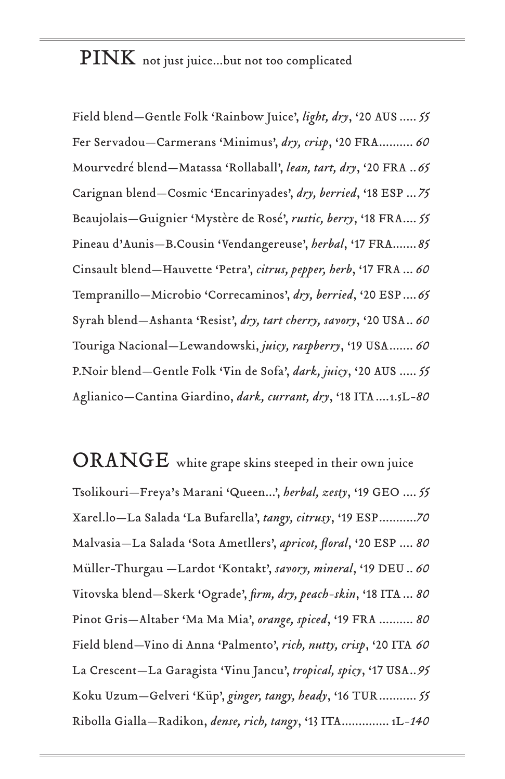PINK not just juice...but not too complicated

Field blend—Gentle Folk 'Rainbow Juice', *light, dry*, '20 AUS ..... *55* Fer Servadou—Carmerans 'Minimus', *dry, crisp*, '20 FRA.......... *60*  Mourvedré blend—Matassa 'Rollaball', *lean, tart, dry*, '20 FRA ..*65* Carignan blend—Cosmic 'Encarinyades', *dry, berried*, '18 ESP ... *75*  Beaujolais—Guignier 'Mystère de Rosé', *rustic, berry*, '18 FRA.... *55*  Pineau d'Aunis—B.Cousin 'Vendangereuse', *herbal*, '17 FRA.......*85* Cinsault blend—Hauvette 'Petra', *citrus, pepper, herb*, '17 FRA ... *60*  Tempranillo—Microbio 'Correcaminos', *dry, berried*, '20 ESP....*65*  Syrah blend—Ashanta 'Resist', *dry, tart cherry, savory*, '20 USA.. *60* Touriga Nacional—Lewandowski, *juicy, raspberry*, '19 USA....... *60* P.Noir blend—Gentle Folk 'Vin de Sofa', *dark, juicy*, '20 AUS ..... *55* Aglianico—Cantina Giardino, *dark, currant, dry*, '18 ITA....1.5L*-80*

 $\mathbf{ORANGE}$  white grape skins steeped in their own juice Tsolikouri—Freya's Marani 'Queen...', *herbal, zesty*, '19 GEO .... *55*  Xarel.lo—La Salada 'La Bufarella', *tangy, citrusy*, '19 ESP...........*70* Malvasia—La Salada 'Sota Ametllers', *apricot, floral*, '20 ESP .... *80* Müller-Thurgau —Lardot 'Kontakt', *savory, mineral*, '19 DEU .. *60*  Vitovska blend—Skerk 'Ograde', *firm, dry, peach-skin*, '18 ITA ... *80* Pinot Gris—Altaber 'Ma Ma Mia', *orange, spiced*, '19 FRA .......... *80* Field blend—Vino di Anna 'Palmento', *rich, nutty, crisp*, '20 ITA *60* La Crescent—La Garagista 'Vinu Jancu', *tropical, spicy*, '17 USA..*95*  Koku Uzum—Gelveri 'Küp', *ginger, tangy, heady*, '16 TUR........... *55*  Ribolla Gialla—Radikon, *dense, rich, tangy*, '13 ITA.............. 1L-*140*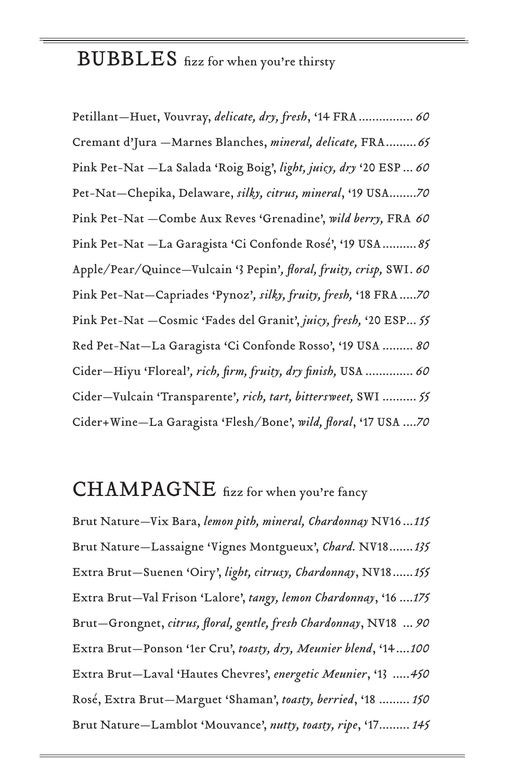# BUBBLES fizz for when you're thirsty

Petillant—Huet, Vouvray, *delicate, dry, fresh*, '14 FRA................ *60* Cremant d'Jura —Marnes Blanches, *mineral, delicate,* FRA.........*65* Pink Pet-Nat —La Salada 'Roig Boig', *light, juicy, dry* '20 ESP ... *60* Pet-Nat—Chepika, Delaware, *silky, citrus, mineral*, '19 USA........*70* Pink Pet-Nat —Combe Aux Reves 'Grenadine', *wild berry,* FRA *60* Pink Pet-Nat —La Garagista 'Ci Confonde Rosé', '19 USA..........*85* Apple/Pear/Quince—Vulcain '3 Pepin'*, floral, fruity, crisp,* SWI. *60* Pink Pet-Nat—Capriades 'Pynoz'*, silky, fruity, fresh,* '18 FRA.....*70* Pink Pet-Nat —Cosmic 'Fades del Granit', *juicy, fresh,* '20 ESP... *55* Red Pet-Nat—La Garagista 'Ci Confonde Rosso', '19 USA ......... *80* Cider—Hiyu 'Floreal'*, rich, firm, fruity, dry finish,* USA .............. *60* Cider—Vulcain 'Transparente'*, rich, tart, bittersweet,* SWI .......... *55* Cider+Wine—La Garagista 'Flesh/Bone', *wild, floral*, '17 USA ....*70*

## CHAMPAGNE fizz for when you're fancy

Brut Nature—Vix Bara, *lemon pith, mineral, Chardonnay* NV16 ...*115* Brut Nature—Lassaigne 'Vignes Montgueux', *Chard.* NV18.......*135* Extra Brut—Suenen 'Oiry', *light, citrusy, Chardonnay*, NV18......*155* Extra Brut—Val Frison 'Lalore', *tangy, lemon Chardonnay*, '16 ....*175* Brut—Grongnet, *citrus, floral, gentle, fresh Chardonnay*, NV18 ... *90* Extra Brut—Ponson '1er Cru', *toasty, dry, Meunier blend*, '14....*100* Extra Brut—Laval 'Hautes Chevres', *energetic Meunier*, '13 .....*450*  Rosé, Extra Brut—Marguet 'Shaman', *toasty, berried*, '18 ......... *150*  Brut Nature—Lamblot 'Mouvance', *nutty, toasty, ripe*, '17......... *145*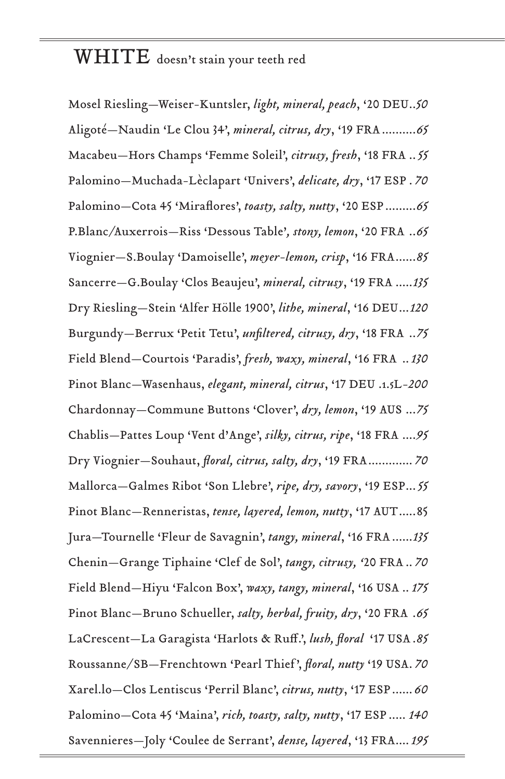## WHITE doesn't stain your teeth red

Mosel Riesling—Weiser-Kuntsler, *light, mineral, peach*, '20 DEU..*50* Aligoté—Naudin 'Le Clou 34', *mineral, citrus, dry*, '19 FRA..........*65* Macabeu—Hors Champs 'Femme Soleil', *citrusy, fresh*, '18 FRA ..*55* Palomino—Muchada-Lèclapart 'Univers', *delicate, dry*, '17 ESP . *70* Palomino—Cota 45 'Miraflores', *toasty, salty, nutty*, '20 ESP.........*65* P.Blanc/Auxerrois—Riss 'Dessous Table'*, stony, lemon*, '20 FRA ..*65* Viognier—S.Boulay 'Damoiselle', *meyer-lemon, crisp*, '16 FRA......*85* Sancerre—G.Boulay 'Clos Beaujeu', *mineral, citrusy*, '19 FRA .....*135* Dry Riesling—Stein 'Alfer Hölle 1900', *lithe, mineral*, '16 DEU...*120* Burgundy—Berrux 'Petit Tetu', *unfiltered, citrusy, dry*, '18 FRA ..*75* Field Blend—Courtois 'Paradis', *fresh, waxy, mineral*, '16 FRA ..*130* Pinot Blanc—Wasenhaus, *elegant, mineral, citrus*, '17 DEU .1.5L*-200* Chardonnay—Commune Buttons 'Clover', *dry, lemon*, '19 AUS ...*75* Chablis—Pattes Loup 'Vent d'Ange', *silky, citrus, ripe*, '18 FRA ....*95* Dry Viognier—Souhaut, *floral, citrus, salty, dry*, '19 FRA............. *70* Mallorca—Galmes Ribot 'Son Llebre', *ripe, dry, savory*, '19 ESP...*55* Pinot Blanc—Renneristas, *tense, layered, lemon, nutty*, '17 AUT.....85 Jura—Tournelle 'Fleur de Savagnin', *tangy, mineral*, '16 FRA......*135* Chenin—Grange Tiphaine 'Clef de Sol', *tangy, citrusy, '*20 FRA .. *70* Field Blend—Hiyu 'Falcon Box', *waxy, tangy, mineral*, '16 USA .. *175* Pinot Blanc—Bruno Schueller, *salty, herbal, fruity, dry*, '20 FRA .*65* LaCrescent—La Garagista 'Harlots & Ruff.', *lush, floral* '17 USA .*85* Roussanne/SB—Frenchtown 'Pearl Thief ', *floral, nutty* '19 USA. *70*  Xarel.lo—Clos Lentiscus 'Perril Blanc', *citrus, nutty*, '17 ESP...... *60* Palomino—Cota 45 'Maina', *rich, toasty, salty, nutty*, '17 ESP ..... *140* Savennieres—Joly 'Coulee de Serrant', *dense, layered*, '13 FRA....*195*